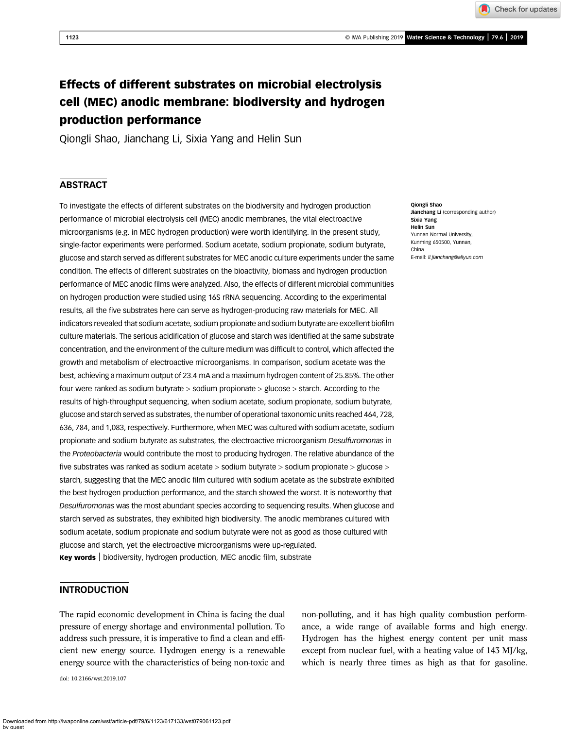Check for updates

# Effects of different substrates on microbial electrolysis cell (MEC) anodic membrane: biodiversity and hydrogen production performance

Qiongli Shao, Jianchang Li, Sixia Yang and Helin Sun

# **ABSTRACT**

To investigate the effects of different substrates on the biodiversity and hydrogen production performance of microbial electrolysis cell (MEC) anodic membranes, the vital electroactive microorganisms (e.g. in MEC hydrogen production) were worth identifying. In the present study, single-factor experiments were performed. Sodium acetate, sodium propionate, sodium butyrate, glucose and starch served as different substrates for MEC anodic culture experiments under the same condition. The effects of different substrates on the bioactivity, biomass and hydrogen production performance of MEC anodic films were analyzed. Also, the effects of different microbial communities on hydrogen production were studied using 16S rRNA sequencing. According to the experimental results, all the five substrates here can serve as hydrogen-producing raw materials for MEC. All indicators revealed that sodium acetate, sodium propionate and sodium butyrate are excellent biofilm culture materials. The serious acidification of glucose and starch was identified at the same substrate concentration, and the environment of the culture medium was difficult to control, which affected the growth and metabolism of electroactive microorganisms. In comparison, sodium acetate was the best, achieving a maximum output of 23.4 mA and a maximum hydrogen content of 25.85%. The other four were ranked as sodium butyrate > sodium propionate > glucose > starch. According to the results of high-throughput sequencing, when sodium acetate, sodium propionate, sodium butyrate, glucose and starch served as substrates, the number of operational taxonomic units reached 464, 728, 636, 784, and 1,083, respectively. Furthermore, when MEC was cultured with sodium acetate, sodium propionate and sodium butyrate as substrates, the electroactive microorganism Desulfuromonas in the Proteobacteria would contribute the most to producing hydrogen. The relative abundance of the five substrates was ranked as sodium acetate > sodium butyrate > sodium propionate > glucose > starch, suggesting that the MEC anodic film cultured with sodium acetate as the substrate exhibited the best hydrogen production performance, and the starch showed the worst. It is noteworthy that Desulfuromonas was the most abundant species according to sequencing results. When glucose and starch served as substrates, they exhibited high biodiversity. The anodic membranes cultured with sodium acetate, sodium propionate and sodium butyrate were not as good as those cultured with glucose and starch, yet the electroactive microorganisms were up-regulated. Key words | biodiversity, hydrogen production, MEC anodic film, substrate

# INTRODUCTION

The rapid economic development in China is facing the dual pressure of energy shortage and environmental pollution. To address such pressure, it is imperative to find a clean and efficient new energy source. Hydrogen energy is a renewable energy source with the characteristics of being non-toxic and

doi: 10.2166/wst.2019.107

non-polluting, and it has high quality combustion performance, a wide range of available forms and high energy. Hydrogen has the highest energy content per unit mass except from nuclear fuel, with a heating value of 143 MJ/kg, which is nearly three times as high as that for gasoline.

Qiongli Shao Jianchang Li (corresponding author) Sixia Yang Helin Sun Yunnan Normal University, Kunming 650500, Yunnan, China E-mail: [li.jianchang@aliyun.com](mailto:li.jianchang@aliyun.com)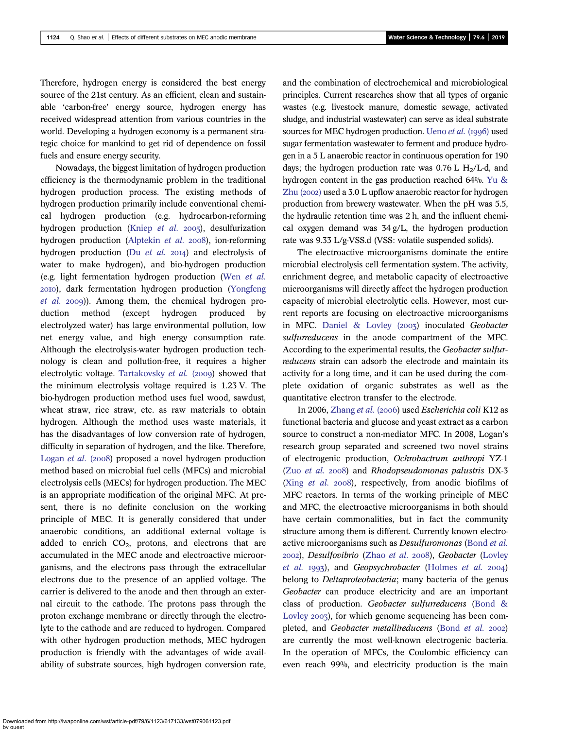Therefore, hydrogen energy is considered the best energy source of the 21st century. As an efficient, clean and sustainable 'carbon-free' energy source, hydrogen energy has received widespread attention from various countries in the world. Developing a hydrogen economy is a permanent strategic choice for mankind to get rid of dependence on fossil fuels and ensure energy security.

Nowadays, the biggest limitation of hydrogen production efficiency is the thermodynamic problem in the traditional hydrogen production process. The existing methods of hydrogen production primarily include conventional chemical hydrogen production (e.g. hydrocarbon-reforming hydrogen production [\(Kniep](#page-10-0)  $et$  al.  $2005$ ), desulfurization hydrogen production [\(Alptekin](#page-10-0) et al. 2008), ion-reforming hydrogen production (Du  $et$  al. 2014) and electrolysis of water to make hydrogen), and bio-hydrogen production (e.g. light fermentation hydrogen production (Wen [et al.](#page-10-0) ), dark fermentation hydrogen production [\(Yongfeng](#page-10-0) *[et al.](#page-10-0)* 2009)). Among them, the chemical hydrogen production method (except hydrogen produced by electrolyzed water) has large environmental pollution, low net energy value, and high energy consumption rate. Although the electrolysis-water hydrogen production technology is clean and pollution-free, it requires a higher electrolytic voltage. [Tartakovsky](#page-10-0)  $et$  al. (2009) showed that the minimum electrolysis voltage required is 1.23 V. The bio-hydrogen production method uses fuel wood, sawdust, wheat straw, rice straw, etc. as raw materials to obtain hydrogen. Although the method uses waste materials, it has the disadvantages of low conversion rate of hydrogen, difficulty in separation of hydrogen, and the like. Therefore, [Logan](#page-10-0) et al. ( $2008$ ) proposed a novel hydrogen production method based on microbial fuel cells (MFCs) and microbial electrolysis cells (MECs) for hydrogen production. The MEC is an appropriate modification of the original MFC. At present, there is no definite conclusion on the working principle of MEC. It is generally considered that under anaerobic conditions, an additional external voltage is added to enrich  $CO<sub>2</sub>$ , protons, and electrons that are accumulated in the MEC anode and electroactive microorganisms, and the electrons pass through the extracellular electrons due to the presence of an applied voltage. The carrier is delivered to the anode and then through an external circuit to the cathode. The protons pass through the proton exchange membrane or directly through the electrolyte to the cathode and are reduced to hydrogen. Compared with other hydrogen production methods, MEC hydrogen production is friendly with the advantages of wide availability of substrate sources, high hydrogen conversion rate, and the combination of electrochemical and microbiological principles. Current researches show that all types of organic wastes (e.g. livestock manure, domestic sewage, activated sludge, and industrial wastewater) can serve as ideal substrate sources for MEC hydrogen production. [Ueno](#page-10-0) et al. (1996) used sugar fermentation wastewater to ferment and produce hydrogen in a 5 L anaerobic reactor in continuous operation for 190 days; the hydrogen production rate was  $0.76$  L H<sub>2</sub>/L·d, and hydrogen content in the gas production reached 64%. [Yu &](#page-10-0) Zhu  $(2002)$  used a 3.0 L upflow anaerobic reactor for hydrogen production from brewery wastewater. When the pH was 5.5, the hydraulic retention time was 2 h, and the influent chemical oxygen demand was 34 g/L, the hydrogen production rate was 9.33 L/g-VSS.d (VSS: volatile suspended solids).

The electroactive microorganisms dominate the entire microbial electrolysis cell fermentation system. The activity, enrichment degree, and metabolic capacity of electroactive microorganisms will directly affect the hydrogen production capacity of microbial electrolytic cells. However, most current reports are focusing on electroactive microorganisms in MFC. Daniel & Lovley  $(2007)$  inoculated Geobacter sulfurreducens in the anode compartment of the MFC. According to the experimental results, the Geobacter sulfurreducens strain can adsorb the electrode and maintain its activity for a long time, and it can be used during the complete oxidation of organic substrates as well as the quantitative electron transfer to the electrode.

In 2006, [Zhang](#page-10-0) et al. (2006) used Escherichia coli K12 as functional bacteria and glucose and yeast extract as a carbon source to construct a non-mediator MFC. In 2008, Logan's research group separated and screened two novel strains of electrogenic production, Ochrobactrum anthropi YZ-1 (Zuo [et al.](#page-10-0) 2008) and Rhodopseudomonas palustris DX-3 (Xing  $et$   $al.$  2008), respectively, from anodic biofilms of MFC reactors. In terms of the working principle of MEC and MFC, the electroactive microorganisms in both should have certain commonalities, but in fact the community structure among them is different. Currently known electroactive microorganisms such as Desulfuromonas ([Bond](#page-10-0) et al. 2002), Desulfovibrio [\(Zhao](#page-10-0) et al. 2008), Geobacter [\(Lovley](#page-10-0) [et al.](#page-10-0)  $1993$ ), and Geopsychrobacter ([Holmes](#page-10-0) et al. 2004) belong to *Deltaproteobacteria*; many bacteria of the genus Geobacter can produce electricity and are an important class of production. Geobacter sulfurreducens ([Bond &](#page-10-0) [Lovley](#page-10-0) 2003), for which genome sequencing has been com-pleted, and Geobacter metallireducens ([Bond](#page-10-0) et al. 2002) are currently the most well-known electrogenic bacteria. In the operation of MFCs, the Coulombic efficiency can even reach 99%, and electricity production is the main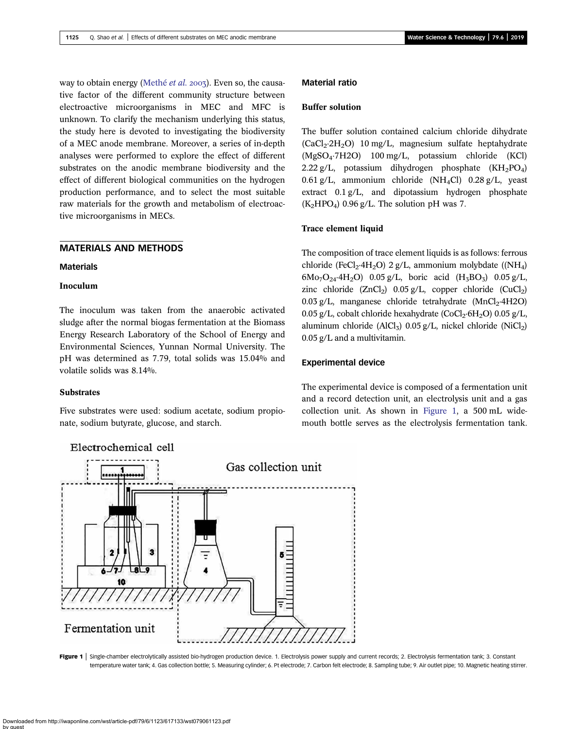way to obtain energy [\(Methé](#page-10-0) et al. 2003). Even so, the causative factor of the different community structure between electroactive microorganisms in MEC and MFC is unknown. To clarify the mechanism underlying this status, the study here is devoted to investigating the biodiversity of a MEC anode membrane. Moreover, a series of in-depth analyses were performed to explore the effect of different substrates on the anodic membrane biodiversity and the effect of different biological communities on the hydrogen production performance, and to select the most suitable raw materials for the growth and metabolism of electroactive microorganisms in MECs.

# MATERIALS AND METHODS

**Materials** 

## Inoculum

The inoculum was taken from the anaerobic activated sludge after the normal biogas fermentation at the Biomass Energy Research Laboratory of the School of Energy and Environmental Sciences, Yunnan Normal University. The pH was determined as 7.79, total solids was 15.04% and volatile solids was 8.14%.

# **Substrates**

Five substrates were used: sodium acetate, sodium propionate, sodium butyrate, glucose, and starch.



# Material ratio

# Buffer solution

The buffer solution contained calcium chloride dihydrate  $(CaCl<sub>2</sub>·2H<sub>2</sub>O)$  10 mg/L, magnesium sulfate heptahydrate (MgSO4·7H2O) 100 mg/L, potassium chloride (KCl) 2.22 g/L, potassium dihydrogen phosphate  $(KH_2PO_4)$ 0.61 g/L, ammonium chloride (NH<sub>4</sub>Cl) 0.28 g/L, yeast extract 0.1 g/L, and dipotassium hydrogen phosphate  $(K_2HPO_4)$  0.96 g/L. The solution pH was 7.

## Trace element liquid

The composition of trace element liquids is as follows: ferrous chloride (FeCl<sub>2</sub>·4H<sub>2</sub>O) 2 g/L, ammonium molybdate ((NH<sub>4</sub>)  $6\text{Mo}_7\text{O}_{24}$ ·4H<sub>2</sub>O) 0.05 g/L, boric acid (H<sub>3</sub>BO<sub>3</sub>) 0.05 g/L, zinc chloride  $(ZnCl<sub>2</sub>)$  0.05 g/L, copper chloride  $(CuCl<sub>2</sub>)$ 0.03 g/L, manganese chloride tetrahydrate (MnCl<sub>2</sub>·4H2O) 0.05 g/L, cobalt chloride hexahydrate (CoCl<sub>2</sub>·6H<sub>2</sub>O) 0.05 g/L, aluminum chloride (AlCl<sub>3</sub>) 0.05 g/L, nickel chloride (NiCl<sub>2</sub>) 0.05 g/L and a multivitamin.

#### Experimental device

The experimental device is composed of a fermentation unit and a record detection unit, an electrolysis unit and a gas collection unit. As shown in Figure 1, a 500 mL widemouth bottle serves as the electrolysis fermentation tank.

Figure 1 | Single-chamber electrolytically assisted bio-hydrogen production device. 1. Electrolysis power supply and current records; 2. Electrolysis fermentation tank; 3. Constant temperature water tank; 4. Gas collection bottle; 5. Measuring cylinder; 6. Pt electrode; 7. Carbon felt electrode; 8. Sampling tube; 9. Air outlet pipe; 10. Magnetic heating stirrer.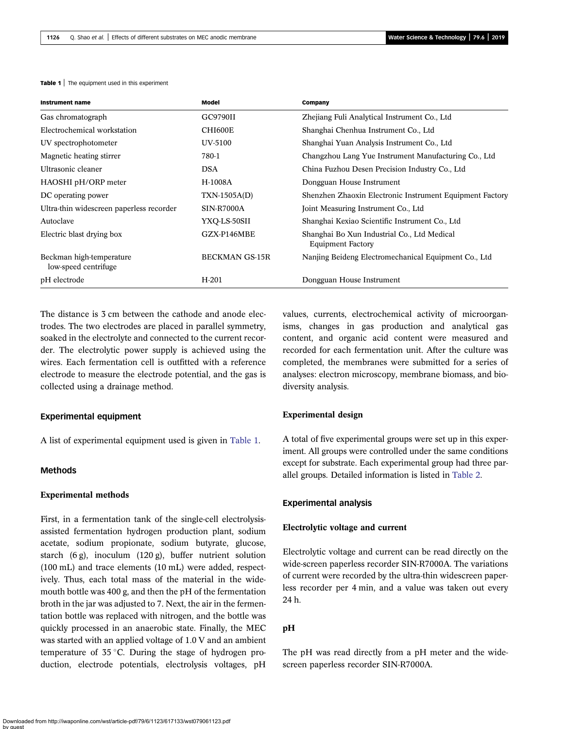| <b>Table 1</b> The equipment used in this experiment |
|------------------------------------------------------|
|------------------------------------------------------|

| Instrument name                                  | Model                 | Company                                                                 |
|--------------------------------------------------|-----------------------|-------------------------------------------------------------------------|
| Gas chromatograph                                | GC9790II              | Zhejiang Fuli Analytical Instrument Co., Ltd                            |
| Electrochemical workstation                      | CHI600E               | Shanghai Chenhua Instrument Co., Ltd                                    |
| UV spectrophotometer                             | UV-5100               | Shanghai Yuan Analysis Instrument Co., Ltd                              |
| Magnetic heating stirrer                         | 780-1                 | Changzhou Lang Yue Instrument Manufacturing Co., Ltd.                   |
| Ultrasonic cleaner                               | <b>DSA</b>            | China Fuzhou Desen Precision Industry Co., Ltd                          |
| HAOSHI pH/ORP meter                              | H-1008A               | Dongguan House Instrument                                               |
| DC operating power                               | TXN-1505A(D)          | Shenzhen Zhaoxin Electronic Instrument Equipment Factory                |
| Ultra-thin widescreen paperless recorder         | <b>SIN-R7000A</b>     | Joint Measuring Instrument Co., Ltd                                     |
| Autoclave                                        | YXQ-LS-50SII          | Shanghai Kexiao Scientific Instrument Co., Ltd.                         |
| Electric blast drying box                        | GZX-P146MBE           | Shanghai Bo Xun Industrial Co., Ltd Medical<br><b>Equipment Factory</b> |
| Beckman high-temperature<br>low-speed centrifuge | <b>BECKMAN GS-15R</b> | Nanjing Beideng Electromechanical Equipment Co., Ltd.                   |
| pH electrode                                     | $H-201$               | Dongguan House Instrument                                               |

The distance is 3 cm between the cathode and anode electrodes. The two electrodes are placed in parallel symmetry, soaked in the electrolyte and connected to the current recorder. The electrolytic power supply is achieved using the wires. Each fermentation cell is outfitted with a reference electrode to measure the electrode potential, and the gas is collected using a drainage method.

## Experimental equipment

A list of experimental equipment used is given in Table 1.

## Methods

## Experimental methods

First, in a fermentation tank of the single-cell electrolysisassisted fermentation hydrogen production plant, sodium acetate, sodium propionate, sodium butyrate, glucose, starch (6 g), inoculum (120 g), buffer nutrient solution (100 mL) and trace elements (10 mL) were added, respectively. Thus, each total mass of the material in the widemouth bottle was 400 g, and then the pH of the fermentation broth in the jar was adjusted to 7. Next, the air in the fermentation bottle was replaced with nitrogen, and the bottle was quickly processed in an anaerobic state. Finally, the MEC was started with an applied voltage of 1.0 V and an ambient temperature of  $35^{\circ}$ C. During the stage of hydrogen production, electrode potentials, electrolysis voltages, pH values, currents, electrochemical activity of microorganisms, changes in gas production and analytical gas content, and organic acid content were measured and recorded for each fermentation unit. After the culture was completed, the membranes were submitted for a series of analyses: electron microscopy, membrane biomass, and biodiversity analysis.

#### Experimental design

A total of five experimental groups were set up in this experiment. All groups were controlled under the same conditions except for substrate. Each experimental group had three parallel groups. Detailed information is listed in [Table 2.](#page-4-0)

#### Experimental analysis

#### Electrolytic voltage and current

Electrolytic voltage and current can be read directly on the wide-screen paperless recorder SIN-R7000A. The variations of current were recorded by the ultra-thin widescreen paperless recorder per 4 min, and a value was taken out every 24 h.

#### pH

The pH was read directly from a pH meter and the widescreen paperless recorder SIN-R7000A.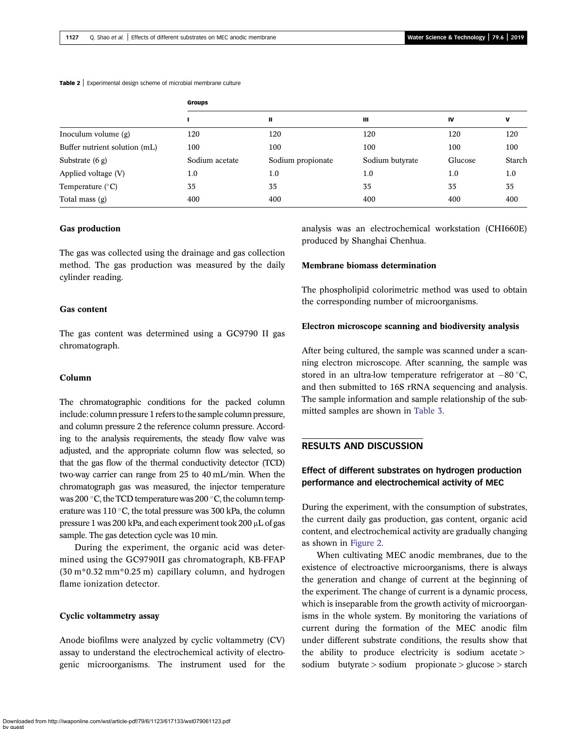#### <span id="page-4-0"></span>Table 2 | Experimental design scheme of microbial membrane culture

|                               | Groups |     |     |     |     |  |  |
|-------------------------------|--------|-----|-----|-----|-----|--|--|
|                               |        |     | ш   | IV  |     |  |  |
| Inoculum volume (g)           | 120    | 120 | 120 | 120 | 120 |  |  |
| Buffer nutrient solution (mL) | 100    | 100 | 100 | 100 | 100 |  |  |

Substrate (6 g) Sodium acetate Sodium propionate Sodium butyrate Glucose Starch Applied voltage (V) 1.0 1.0 1.0 1.0 1.0

# Temperature (°C)  $\begin{array}{cccc} 35 & 35 & 35 \end{array}$  35  $\begin{array}{cccc} 35 & 35 & 35 \end{array}$ Total mass (g) 400 400 400 400 400

## Gas production

The gas was collected using the drainage and gas collection method. The gas production was measured by the daily cylinder reading.

## Gas content

The gas content was determined using a GC9790 II gas chromatograph.

#### Column

The chromatographic conditions for the packed column include: column pressure 1 refers to the sample column pressure, and column pressure 2 the reference column pressure. According to the analysis requirements, the steady flow valve was adjusted, and the appropriate column flow was selected, so that the gas flow of the thermal conductivity detector (TCD) two-way carrier can range from 25 to 40 mL/min. When the chromatograph gas was measured, the injector temperature was 200  $\degree$ C, the TCD temperature was 200  $\degree$ C, the column temperature was  $110^{\circ}$ C, the total pressure was 300 kPa, the column pressure 1 was 200 kPa, and each experiment took 200 μL of gas sample. The gas detection cycle was 10 min.

During the experiment, the organic acid was determined using the GC9790II gas chromatograph, KB-FFAP (30 m\*0.32 mm\*0.25 m) capillary column, and hydrogen flame ionization detector.

## Cyclic voltammetry assay

Anode biofilms were analyzed by cyclic voltammetry (CV) assay to understand the electrochemical activity of electrogenic microorganisms. The instrument used for the analysis was an electrochemical workstation (CHI660E) produced by Shanghai Chenhua.

#### Membrane biomass determination

The phospholipid colorimetric method was used to obtain the corresponding number of microorganisms.

#### Electron microscope scanning and biodiversity analysis

After being cultured, the sample was scanned under a scanning electron microscope. After scanning, the sample was stored in an ultra-low temperature refrigerator at  $-80$  °C, and then submitted to 16S rRNA sequencing and analysis. The sample information and sample relationship of the submitted samples are shown in [Table 3.](#page-5-0)

# RESULTS AND DISCUSSION

# Effect of different substrates on hydrogen production performance and electrochemical activity of MEC

During the experiment, with the consumption of substrates, the current daily gas production, gas content, organic acid content, and electrochemical activity are gradually changing as shown in [Figure 2.](#page-6-0)

When cultivating MEC anodic membranes, due to the existence of electroactive microorganisms, there is always the generation and change of current at the beginning of the experiment. The change of current is a dynamic process, which is inseparable from the growth activity of microorganisms in the whole system. By monitoring the variations of current during the formation of the MEC anodic film under different substrate conditions, the results show that the ability to produce electricity is sodium acetate > sodium butyrate > sodium propionate > glucose > starch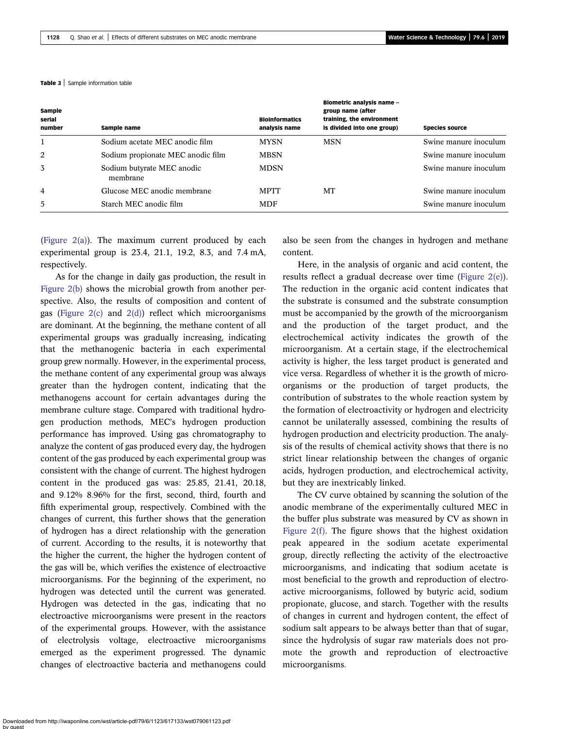#### <span id="page-5-0"></span>Table 3 | Sample information table

| Sample<br>serial<br>number | Sample name                            | <b>Bioinformatics</b><br>analysis name | Biometric analysis name -<br>group name (after<br>training, the environment<br>is divided into one group) | <b>Species source</b> |
|----------------------------|----------------------------------------|----------------------------------------|-----------------------------------------------------------------------------------------------------------|-----------------------|
|                            | Sodium acetate MEC anodic film         | <b>MYSN</b>                            | <b>MSN</b>                                                                                                | Swine manure inoculum |
| 2                          | Sodium propionate MEC anodic film      | <b>MBSN</b>                            |                                                                                                           | Swine manure inoculum |
| 3                          | Sodium butyrate MEC anodic<br>membrane | <b>MDSN</b>                            |                                                                                                           | Swine manure inoculum |
| 4                          | Glucose MEC anodic membrane            | <b>MPTT</b>                            | MT                                                                                                        | Swine manure inoculum |
| 5                          | Starch MEC anodic film                 | <b>MDF</b>                             |                                                                                                           | Swine manure inoculum |

([Figure 2\(a\)\)](#page-6-0). The maximum current produced by each experimental group is 23.4, 21.1, 19.2, 8.3, and 7.4 mA, respectively.

As for the change in daily gas production, the result in [Figure 2\(b\)](#page-6-0) shows the microbial growth from another perspective. Also, the results of composition and content of gas (Figure  $2(c)$  and  $2(d)$ ) reflect which microorganisms are dominant. At the beginning, the methane content of all experimental groups was gradually increasing, indicating that the methanogenic bacteria in each experimental group grew normally. However, in the experimental process, the methane content of any experimental group was always greater than the hydrogen content, indicating that the methanogens account for certain advantages during the membrane culture stage. Compared with traditional hydrogen production methods, MEC's hydrogen production performance has improved. Using gas chromatography to analyze the content of gas produced every day, the hydrogen content of the gas produced by each experimental group was consistent with the change of current. The highest hydrogen content in the produced gas was: 25.85, 21.41, 20.18, and 9.12% 8.96% for the first, second, third, fourth and fifth experimental group, respectively. Combined with the changes of current, this further shows that the generation of hydrogen has a direct relationship with the generation of current. According to the results, it is noteworthy that the higher the current, the higher the hydrogen content of the gas will be, which verifies the existence of electroactive microorganisms. For the beginning of the experiment, no hydrogen was detected until the current was generated. Hydrogen was detected in the gas, indicating that no electroactive microorganisms were present in the reactors of the experimental groups. However, with the assistance of electrolysis voltage, electroactive microorganisms emerged as the experiment progressed. The dynamic changes of electroactive bacteria and methanogens could also be seen from the changes in hydrogen and methane content.

Here, in the analysis of organic and acid content, the results reflect a gradual decrease over time ([Figure 2\(e\)](#page-6-0)). The reduction in the organic acid content indicates that the substrate is consumed and the substrate consumption must be accompanied by the growth of the microorganism and the production of the target product, and the electrochemical activity indicates the growth of the microorganism. At a certain stage, if the electrochemical activity is higher, the less target product is generated and vice versa. Regardless of whether it is the growth of microorganisms or the production of target products, the contribution of substrates to the whole reaction system by the formation of electroactivity or hydrogen and electricity cannot be unilaterally assessed, combining the results of hydrogen production and electricity production. The analysis of the results of chemical activity shows that there is no strict linear relationship between the changes of organic acids, hydrogen production, and electrochemical activity, but they are inextricably linked.

The CV curve obtained by scanning the solution of the anodic membrane of the experimentally cultured MEC in the buffer plus substrate was measured by CV as shown in Figure  $2(f)$ . The figure shows that the highest oxidation peak appeared in the sodium acetate experimental group, directly reflecting the activity of the electroactive microorganisms, and indicating that sodium acetate is most beneficial to the growth and reproduction of electroactive microorganisms, followed by butyric acid, sodium propionate, glucose, and starch. Together with the results of changes in current and hydrogen content, the effect of sodium salt appears to be always better than that of sugar, since the hydrolysis of sugar raw materials does not promote the growth and reproduction of electroactive microorganisms.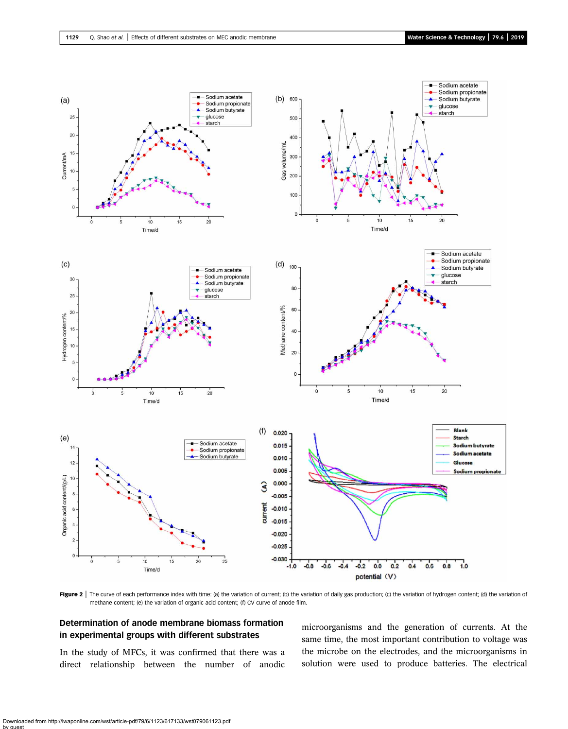<span id="page-6-0"></span>

Figure 2 | The curve of each performance index with time: (a) the variation of current; (b) the variation of daily gas production; (c) the variation of hydrogen content; (d) the variation of methane content; (e) the variation of organic acid content; (f) CV curve of anode film.

# Determination of anode membrane biomass formation in experimental groups with different substrates

In the study of MFCs, it was confirmed that there was a direct relationship between the number of anodic microorganisms and the generation of currents. At the same time, the most important contribution to voltage was the microbe on the electrodes, and the microorganisms in solution were used to produce batteries. The electrical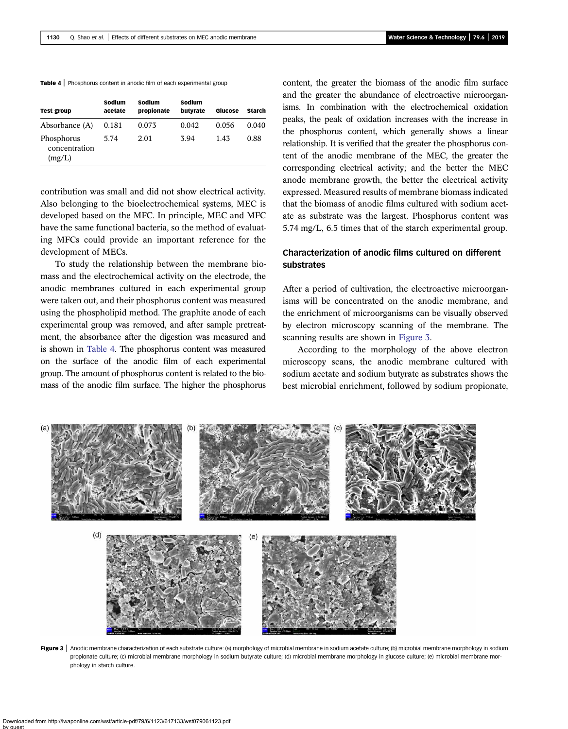|  |  |  |  |  |  |  | Table 4   Phosphorus content in anodic film of each experimental group |  |
|--|--|--|--|--|--|--|------------------------------------------------------------------------|--|
|--|--|--|--|--|--|--|------------------------------------------------------------------------|--|

| <b>Test group</b>                     | Sodium<br>acetate | Sodium<br>propionate | Sodium<br>butvrate | Glucose | Starch |
|---------------------------------------|-------------------|----------------------|--------------------|---------|--------|
| Absorbance (A)                        | 0.181             | 0.073                | 0.042              | 0.056   | 0.040  |
| Phosphorus<br>concentration<br>(mg/L) | 5.74              | 2.01                 | 3.94               | 1.43    | 0.88   |

contribution was small and did not show electrical activity. Also belonging to the bioelectrochemical systems, MEC is developed based on the MFC. In principle, MEC and MFC have the same functional bacteria, so the method of evaluating MFCs could provide an important reference for the development of MECs.

To study the relationship between the membrane biomass and the electrochemical activity on the electrode, the anodic membranes cultured in each experimental group were taken out, and their phosphorus content was measured using the phospholipid method. The graphite anode of each experimental group was removed, and after sample pretreatment, the absorbance after the digestion was measured and is shown in Table 4. The phosphorus content was measured on the surface of the anodic film of each experimental group. The amount of phosphorus content is related to the biomass of the anodic film surface. The higher the phosphorus content, the greater the biomass of the anodic film surface and the greater the abundance of electroactive microorganisms. In combination with the electrochemical oxidation peaks, the peak of oxidation increases with the increase in the phosphorus content, which generally shows a linear relationship. It is verified that the greater the phosphorus content of the anodic membrane of the MEC, the greater the corresponding electrical activity; and the better the MEC anode membrane growth, the better the electrical activity expressed. Measured results of membrane biomass indicated that the biomass of anodic films cultured with sodium acetate as substrate was the largest. Phosphorus content was 5.74 mg/L, 6.5 times that of the starch experimental group.

# Characterization of anodic films cultured on different substrates

After a period of cultivation, the electroactive microorganisms will be concentrated on the anodic membrane, and the enrichment of microorganisms can be visually observed by electron microscopy scanning of the membrane. The scanning results are shown in Figure 3.

According to the morphology of the above electron microscopy scans, the anodic membrane cultured with sodium acetate and sodium butyrate as substrates shows the best microbial enrichment, followed by sodium propionate,



Figure 3 | Anodic membrane characterization of each substrate culture: (a) morphology of microbial membrane in sodium acetate culture; (b) microbial membrane morphology in sodium propionate culture; (c) microbial membrane morphology in sodium butyrate culture; (d) microbial membrane morphology in glucose culture; (e) microbial membrane morphology in starch culture.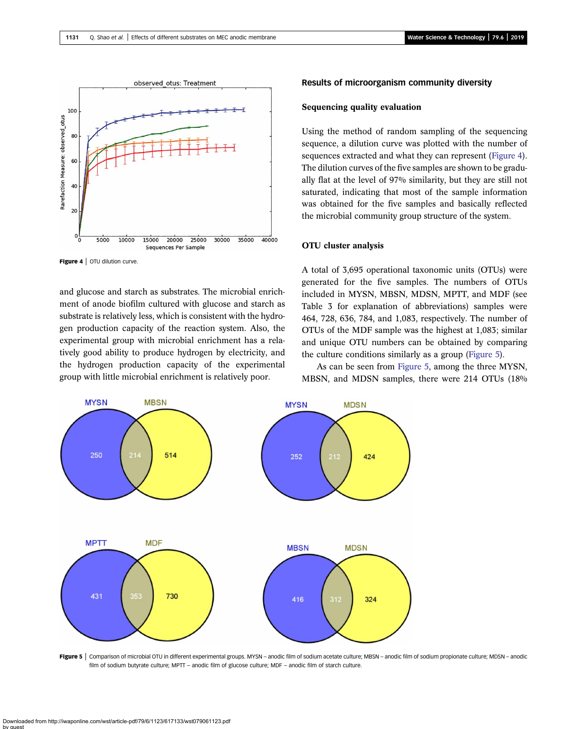

Figure 4 | OTU dilution curve.

and glucose and starch as substrates. The microbial enrichment of anode biofilm cultured with glucose and starch as substrate is relatively less, which is consistent with the hydrogen production capacity of the reaction system. Also, the experimental group with microbial enrichment has a relatively good ability to produce hydrogen by electricity, and the hydrogen production capacity of the experimental group with little microbial enrichment is relatively poor.

#### Results of microorganism community diversity

#### Sequencing quality evaluation

Using the method of random sampling of the sequencing sequence, a dilution curve was plotted with the number of sequences extracted and what they can represent (Figure 4). The dilution curves of the five samples are shown to be gradually flat at the level of 97% similarity, but they are still not saturated, indicating that most of the sample information was obtained for the five samples and basically reflected the microbial community group structure of the system.

## OTU cluster analysis

A total of 3,695 operational taxonomic units (OTUs) were generated for the five samples. The numbers of OTUs included in MYSN, MBSN, MDSN, MPTT, and MDF (see Table 3 for explanation of abbreviations) samples were 464, 728, 636, 784, and 1,083, respectively. The number of OTUs of the MDF sample was the highest at 1,083; similar and unique OTU numbers can be obtained by comparing the culture conditions similarly as a group (Figure 5).

As can be seen from Figure 5, among the three MYSN, MBSN, and MDSN samples, there were 214 OTUs (18%



Figure 5 | Comparison of microbial OTU in different experimental groups. MYSN - anodic film of sodium acetate culture; MBSN - anodic film of sodium propionate culture; MDSN - anodic film of sodium butyrate culture; MPTT – anodic film of glucose culture; MDF – anodic film of starch culture.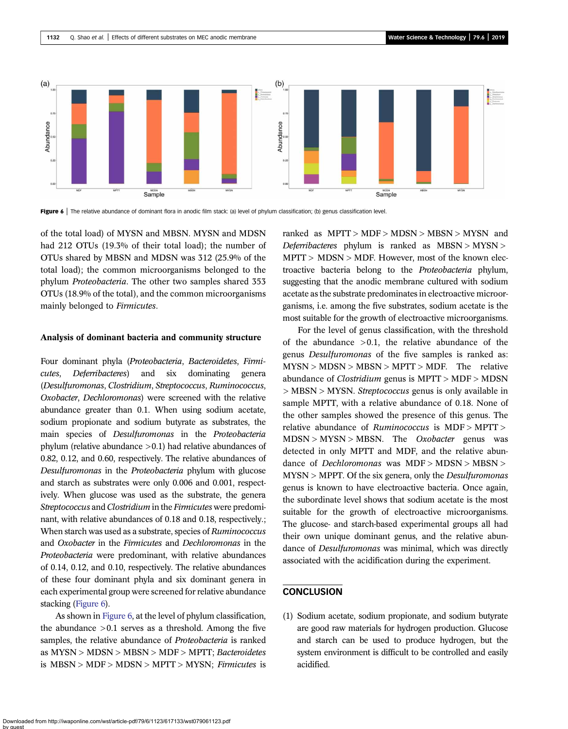

Figure 6 | The relative abundance of dominant flora in anodic film stack: (a) level of phylum classification; (b) genus classification level.

of the total load) of MYSN and MBSN. MYSN and MDSN had 212 OTUs (19.3% of their total load); the number of OTUs shared by MBSN and MDSN was 312 (25.9% of the total load); the common microorganisms belonged to the phylum Proteobacteria. The other two samples shared 353 OTUs (18.9% of the total), and the common microorganisms mainly belonged to Firmicutes.

#### Analysis of dominant bacteria and community structure

Four dominant phyla (Proteobacteria, Bacteroidetes, Firmicutes, Deferribacteres) and six dominating genera (Desulfuromonas, Clostridium, Streptococcus, Ruminococcus, Oxobacter, Dechloromonas) were screened with the relative abundance greater than 0.1. When using sodium acetate, sodium propionate and sodium butyrate as substrates, the main species of Desulfuromonas in the Proteobacteria phylum (relative abundance >0.1) had relative abundances of 0.82, 0.12, and 0.60, respectively. The relative abundances of Desulfuromonas in the Proteobacteria phylum with glucose and starch as substrates were only 0.006 and 0.001, respectively. When glucose was used as the substrate, the genera Streptococcus and Clostridium in the Firmicutes were predominant, with relative abundances of 0.18 and 0.18, respectively.; When starch was used as a substrate, species of Ruminococcus and Oxobacter in the Firmicutes and Dechloromonas in the Proteobacteria were predominant, with relative abundances of 0.14, 0.12, and 0.10, respectively. The relative abundances of these four dominant phyla and six dominant genera in each experimental group were screened for relative abundance stacking (Figure 6).

As shown in Figure 6, at the level of phylum classification, the abundance  $>0.1$  serves as a threshold. Among the five samples, the relative abundance of Proteobacteria is ranked as MYSN > MDSN > MBSN > MDF > MPTT; Bacteroidetes is MBSN > MDF > MDSN > MPTT > MYSN; Firmicutes is ranked as  $MPTT > MDF > MDSN > MBSN > MYSN$  and Deferribacteres phylum is ranked as  $MBSN > MYSN >$ MPTT > MDSN > MDF. However, most of the known electroactive bacteria belong to the Proteobacteria phylum, suggesting that the anodic membrane cultured with sodium acetate as the substrate predominates in electroactive microorganisms, i.e. among the five substrates, sodium acetate is the most suitable for the growth of electroactive microorganisms.

For the level of genus classification, with the threshold of the abundance  $>0.1$ , the relative abundance of the genus Desulfuromonas of the five samples is ranked as:  $MYSN > MDSN > MBSN > MPTT > MDF$ . The relative abundance of *Clostridium* genus is  $MPTT > MDF > MDSN$ > MBSN > MYSN. Streptococcus genus is only available in sample MPTT, with a relative abundance of 0.18. None of the other samples showed the presence of this genus. The relative abundance of Ruminococcus is MDF > MPTT >  $MDSN > MYSN > MBSN$ . The *Oxobacter* genus was detected in only MPTT and MDF, and the relative abundance of *Dechloromonas* was MDF > MDSN > MBSN > MYSN > MPPT. Of the six genera, only the Desulfuromonas genus is known to have electroactive bacteria. Once again, the subordinate level shows that sodium acetate is the most suitable for the growth of electroactive microorganisms. The glucose- and starch-based experimental groups all had their own unique dominant genus, and the relative abundance of Desulfuromonas was minimal, which was directly associated with the acidification during the experiment.

## **CONCLUSION**

(1) Sodium acetate, sodium propionate, and sodium butyrate are good raw materials for hydrogen production. Glucose and starch can be used to produce hydrogen, but the system environment is difficult to be controlled and easily acidified.